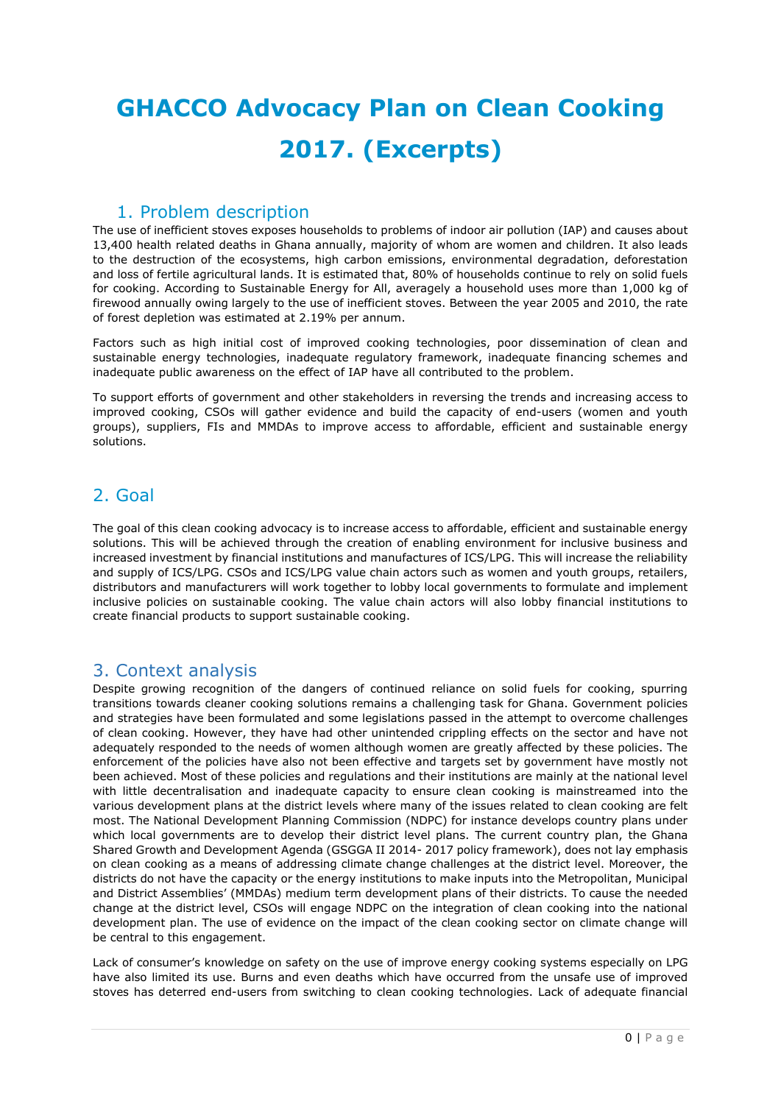# **GHACCO Advocacy Plan on Clean Cooking 2017. (Excerpts)**

### 1. Problem description

The use of inefficient stoves exposes households to problems of indoor air pollution (IAP) and causes about 13,400 health related deaths in Ghana annually, majority of whom are women and children. It also leads to the destruction of the ecosystems, high carbon emissions, environmental degradation, deforestation and loss of fertile agricultural lands. It is estimated that, 80% of households continue to rely on solid fuels for cooking. According to Sustainable Energy for All, averagely a household uses more than 1,000 kg of firewood annually owing largely to the use of inefficient stoves. Between the year 2005 and 2010, the rate of forest depletion was estimated at 2.19% per annum.

Factors such as high initial cost of improved cooking technologies, poor dissemination of clean and sustainable energy technologies, inadequate regulatory framework, inadequate financing schemes and inadequate public awareness on the effect of IAP have all contributed to the problem.

To support efforts of government and other stakeholders in reversing the trends and increasing access to improved cooking, CSOs will gather evidence and build the capacity of end-users (women and youth groups), suppliers, FIs and MMDAs to improve access to affordable, efficient and sustainable energy solutions.

# 2. Goal

The goal of this clean cooking advocacy is to increase access to affordable, efficient and sustainable energy solutions. This will be achieved through the creation of enabling environment for inclusive business and increased investment by financial institutions and manufactures of ICS/LPG. This will increase the reliability and supply of ICS/LPG. CSOs and ICS/LPG value chain actors such as women and youth groups, retailers, distributors and manufacturers will work together to lobby local governments to formulate and implement inclusive policies on sustainable cooking. The value chain actors will also lobby financial institutions to create financial products to support sustainable cooking.

# 3. Context analysis

Despite growing recognition of the dangers of continued reliance on solid fuels for cooking, spurring transitions towards cleaner cooking solutions remains a challenging task for Ghana. Government policies and strategies have been formulated and some legislations passed in the attempt to overcome challenges of clean cooking. However, they have had other unintended crippling effects on the sector and have not adequately responded to the needs of women although women are greatly affected by these policies. The enforcement of the policies have also not been effective and targets set by government have mostly not been achieved. Most of these policies and regulations and their institutions are mainly at the national level with little decentralisation and inadequate capacity to ensure clean cooking is mainstreamed into the various development plans at the district levels where many of the issues related to clean cooking are felt most. The National Development Planning Commission (NDPC) for instance develops country plans under which local governments are to develop their district level plans. The current country plan, the Ghana Shared Growth and Development Agenda (GSGGA II 2014- 2017 policy framework), does not lay emphasis on clean cooking as a means of addressing climate change challenges at the district level. Moreover, the districts do not have the capacity or the energy institutions to make inputs into the Metropolitan, Municipal and District Assemblies' (MMDAs) medium term development plans of their districts. To cause the needed change at the district level, CSOs will engage NDPC on the integration of clean cooking into the national development plan. The use of evidence on the impact of the clean cooking sector on climate change will be central to this engagement.

Lack of consumer's knowledge on safety on the use of improve energy cooking systems especially on LPG have also limited its use. Burns and even deaths which have occurred from the unsafe use of improved stoves has deterred end-users from switching to clean cooking technologies. Lack of adequate financial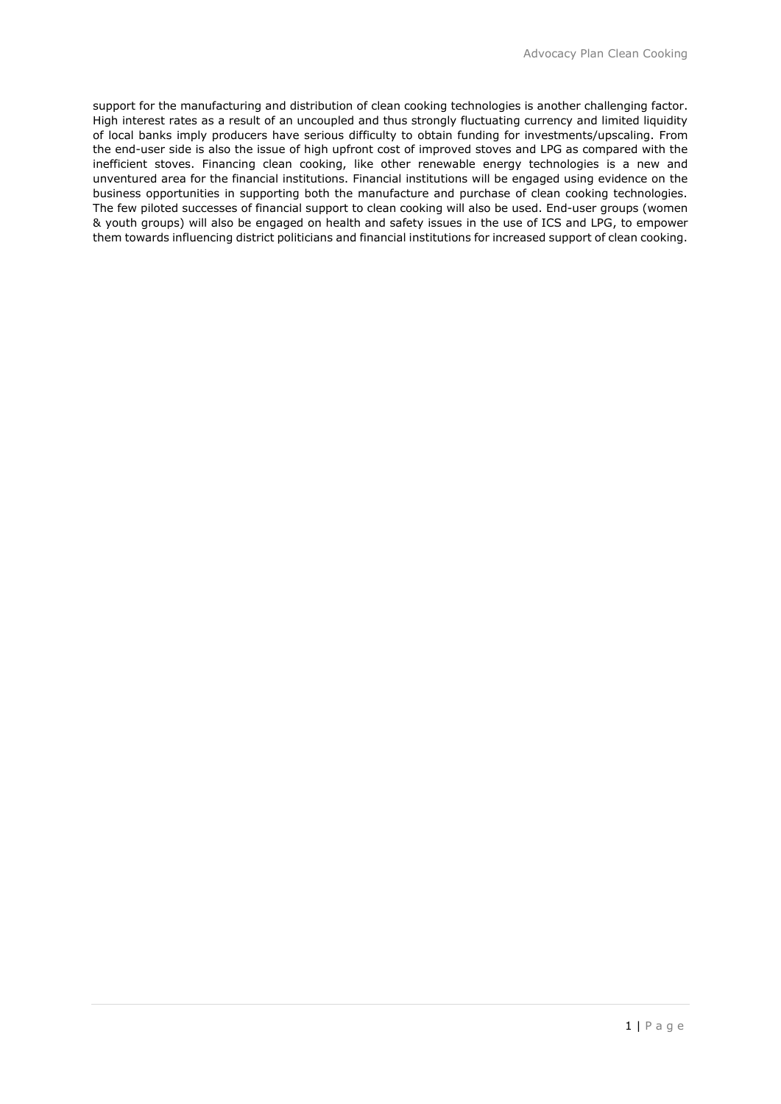support for the manufacturing and distribution of clean cooking technologies is another challenging factor. High interest rates as a result of an uncoupled and thus strongly fluctuating currency and limited liquidity of local banks imply producers have serious difficulty to obtain funding for investments/upscaling. From the end-user side is also the issue of high upfront cost of improved stoves and LPG as compared with the inefficient stoves. Financing clean cooking, like other renewable energy technologies is a new and unventured area for the financial institutions. Financial institutions will be engaged using evidence on the business opportunities in supporting both the manufacture and purchase of clean cooking technologies. The few piloted successes of financial support to clean cooking will also be used. End-user groups (women & youth groups) will also be engaged on health and safety issues in the use of ICS and LPG, to empower them towards influencing district politicians and financial institutions for increased support of clean cooking.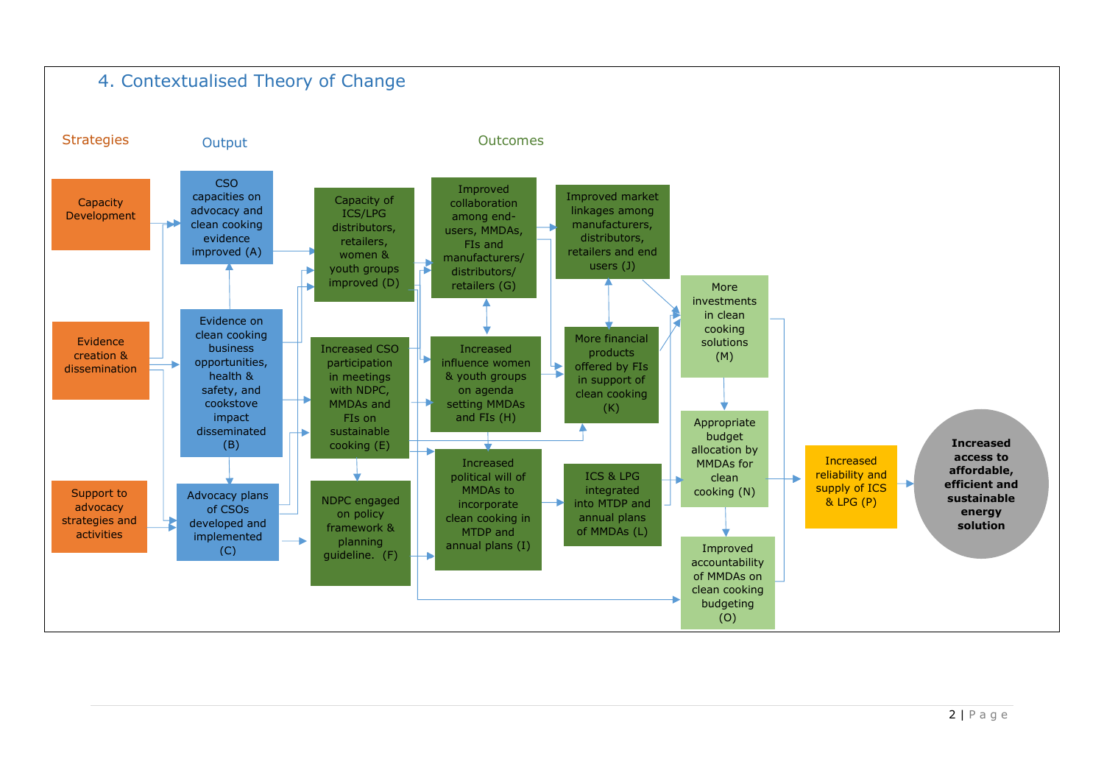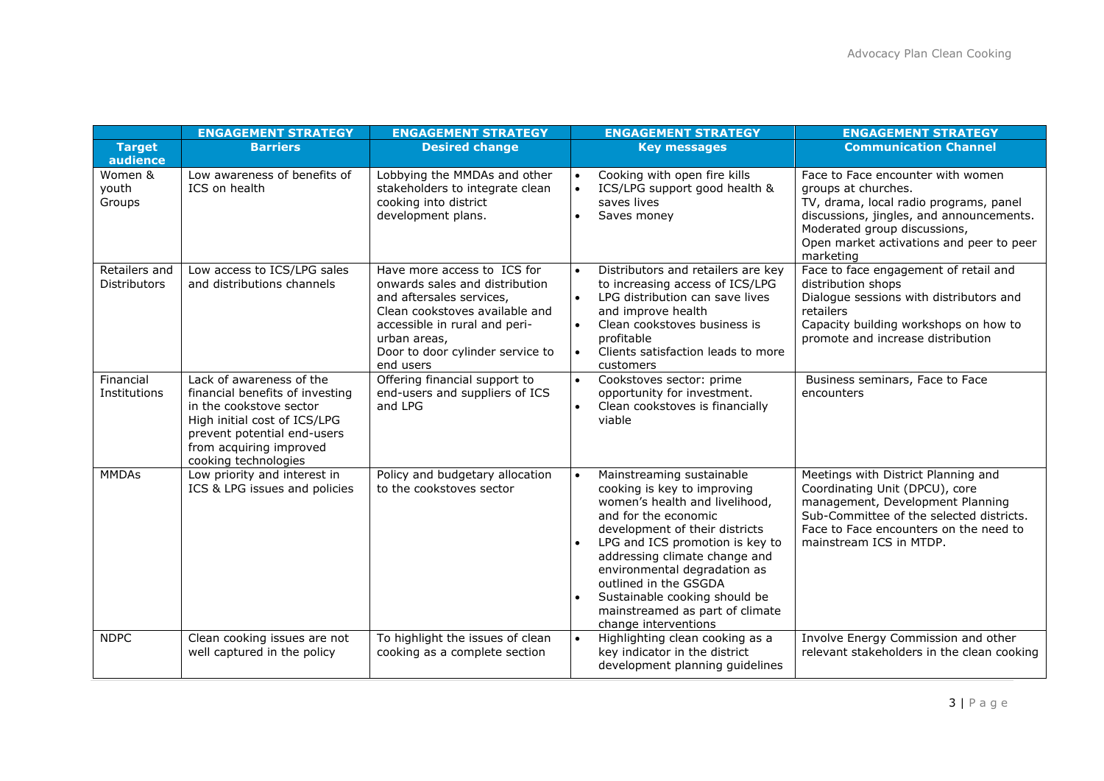|                                      | <b>ENGAGEMENT STRATEGY</b>                                                                                                                                                                               | <b>ENGAGEMENT STRATEGY</b>                                                                                                                                                                                                    | <b>ENGAGEMENT STRATEGY</b>                                                                                                                                                                                                                                                                                                                                                                 | <b>ENGAGEMENT STRATEGY</b>                                                                                                                                                                                                              |
|--------------------------------------|----------------------------------------------------------------------------------------------------------------------------------------------------------------------------------------------------------|-------------------------------------------------------------------------------------------------------------------------------------------------------------------------------------------------------------------------------|--------------------------------------------------------------------------------------------------------------------------------------------------------------------------------------------------------------------------------------------------------------------------------------------------------------------------------------------------------------------------------------------|-----------------------------------------------------------------------------------------------------------------------------------------------------------------------------------------------------------------------------------------|
| <b>Target</b><br>audience            | <b>Barriers</b>                                                                                                                                                                                          | <b>Desired change</b>                                                                                                                                                                                                         | <b>Key messages</b>                                                                                                                                                                                                                                                                                                                                                                        | <b>Communication Channel</b>                                                                                                                                                                                                            |
| Women &<br>youth<br>Groups           | Low awareness of benefits of<br>ICS on health                                                                                                                                                            | Lobbying the MMDAs and other<br>stakeholders to integrate clean<br>cooking into district<br>development plans.                                                                                                                | Cooking with open fire kills<br>ICS/LPG support good health &<br>$\bullet$<br>saves lives<br>Saves money<br>$\bullet$                                                                                                                                                                                                                                                                      | Face to Face encounter with women<br>groups at churches.<br>TV, drama, local radio programs, panel<br>discussions, jingles, and announcements.<br>Moderated group discussions,<br>Open market activations and peer to peer<br>marketing |
| Retailers and<br><b>Distributors</b> | Low access to ICS/LPG sales<br>and distributions channels                                                                                                                                                | Have more access to ICS for<br>onwards sales and distribution<br>and aftersales services,<br>Clean cookstoves available and<br>accessible in rural and peri-<br>urban areas,<br>Door to door cylinder service to<br>end users | Distributors and retailers are key<br>$\bullet$<br>to increasing access of ICS/LPG<br>LPG distribution can save lives<br>$\bullet$<br>and improve health<br>Clean cookstoves business is<br>profitable<br>Clients satisfaction leads to more<br>$\bullet$<br>customers                                                                                                                     | Face to face engagement of retail and<br>distribution shops<br>Dialogue sessions with distributors and<br>retailers<br>Capacity building workshops on how to<br>promote and increase distribution                                       |
| Financial<br>Institutions            | Lack of awareness of the<br>financial benefits of investing<br>in the cookstove sector<br>High initial cost of ICS/LPG<br>prevent potential end-users<br>from acquiring improved<br>cooking technologies | Offering financial support to<br>end-users and suppliers of ICS<br>and LPG                                                                                                                                                    | Cookstoves sector: prime<br>$\bullet$<br>opportunity for investment.<br>Clean cookstoves is financially<br>viable                                                                                                                                                                                                                                                                          | Business seminars, Face to Face<br>encounters                                                                                                                                                                                           |
| <b>MMDAs</b>                         | Low priority and interest in<br>ICS & LPG issues and policies                                                                                                                                            | Policy and budgetary allocation<br>to the cookstoves sector                                                                                                                                                                   | Mainstreaming sustainable<br>$\bullet$<br>cooking is key to improving<br>women's health and livelihood,<br>and for the economic<br>development of their districts<br>LPG and ICS promotion is key to<br>addressing climate change and<br>environmental degradation as<br>outlined in the GSGDA<br>Sustainable cooking should be<br>mainstreamed as part of climate<br>change interventions | Meetings with District Planning and<br>Coordinating Unit (DPCU), core<br>management, Development Planning<br>Sub-Committee of the selected districts.<br>Face to Face encounters on the need to<br>mainstream ICS in MTDP.              |
| <b>NDPC</b>                          | Clean cooking issues are not<br>well captured in the policy                                                                                                                                              | To highlight the issues of clean<br>cooking as a complete section                                                                                                                                                             | Highlighting clean cooking as a<br>$\bullet$<br>key indicator in the district<br>development planning guidelines                                                                                                                                                                                                                                                                           | Involve Energy Commission and other<br>relevant stakeholders in the clean cooking                                                                                                                                                       |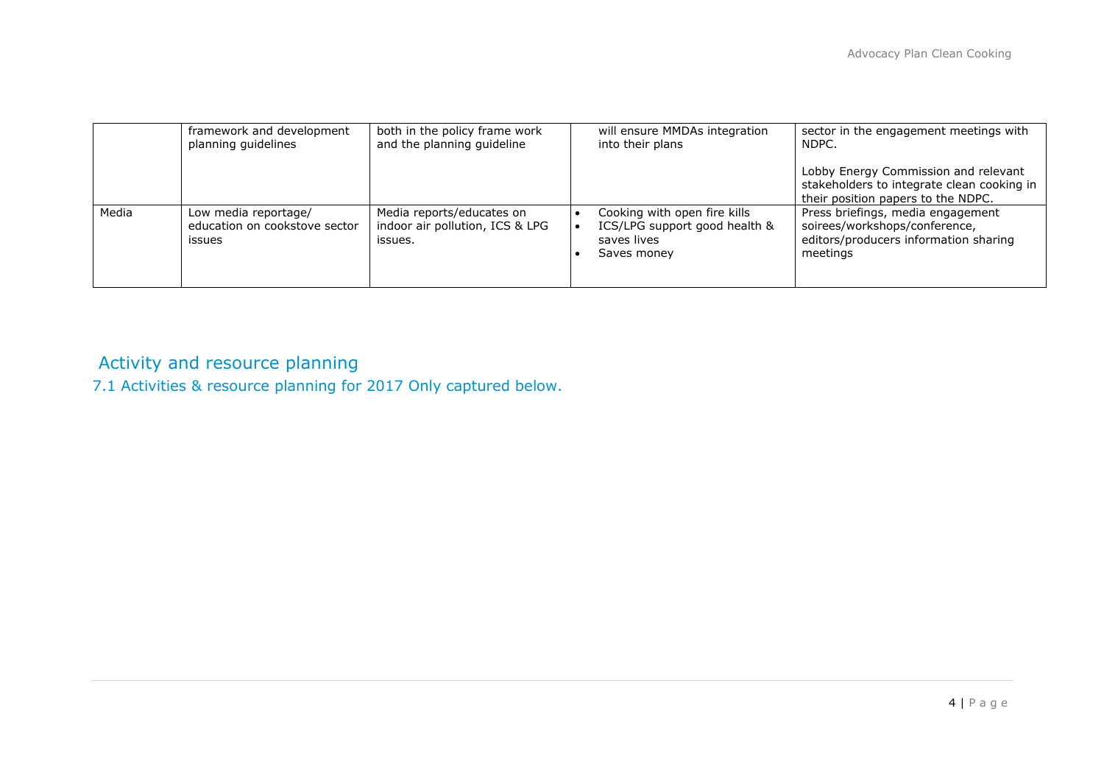|       | framework and development<br>planning guidelines                       | both in the policy frame work<br>and the planning guideline             | will ensure MMDAs integration<br>into their plans                                           | sector in the engagement meetings with<br>NDPC.                                                                          |
|-------|------------------------------------------------------------------------|-------------------------------------------------------------------------|---------------------------------------------------------------------------------------------|--------------------------------------------------------------------------------------------------------------------------|
|       |                                                                        |                                                                         |                                                                                             | Lobby Energy Commission and relevant<br>stakeholders to integrate clean cooking in<br>their position papers to the NDPC. |
| Media | Low media reportage/<br>education on cookstove sector<br><i>issues</i> | Media reports/educates on<br>indoor air pollution, ICS & LPG<br>issues. | Cooking with open fire kills<br>ICS/LPG support good health &<br>saves lives<br>Saves money | Press briefings, media engagement<br>soirees/workshops/conference,<br>editors/producers information sharing<br>meetings  |

# Activity and resource planning

7.1 Activities & resource planning for 2017 Only captured below.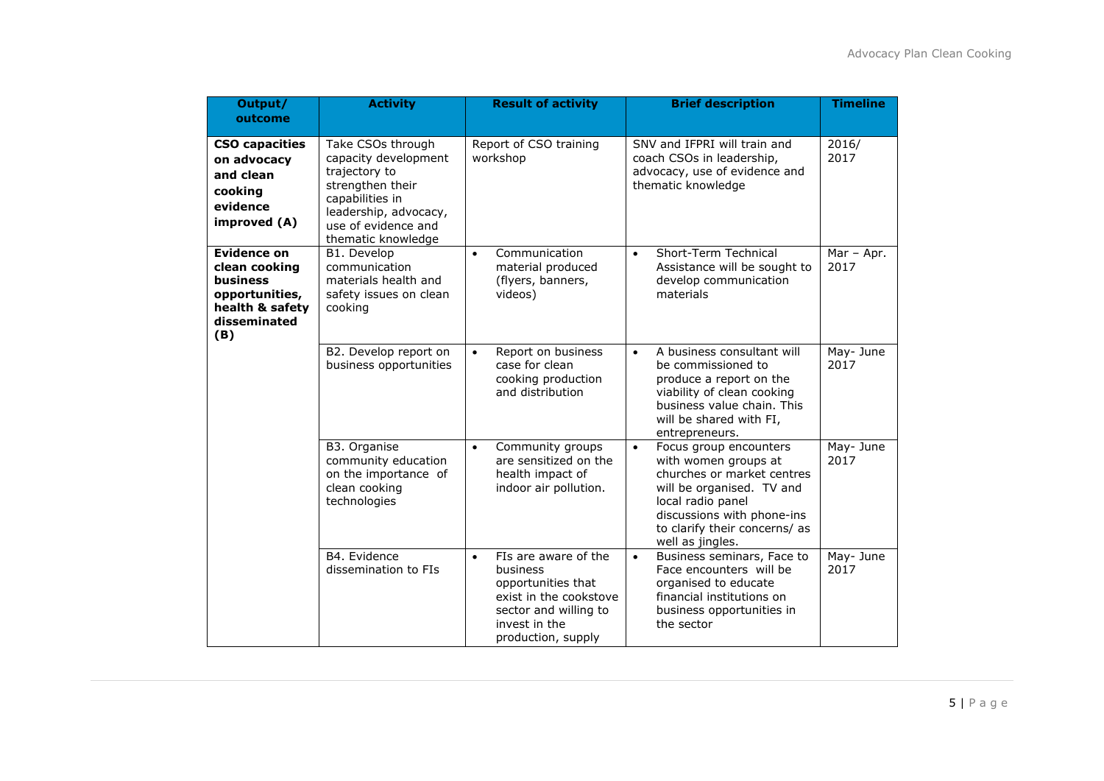| Output/<br>outcome                                                                                   | <b>Activity</b>                                                                                                                                                         | <b>Result of activity</b>                                                                                                                                     | <b>Brief description</b>                                                                                                                                                                                                       | <b>Timeline</b>    |
|------------------------------------------------------------------------------------------------------|-------------------------------------------------------------------------------------------------------------------------------------------------------------------------|---------------------------------------------------------------------------------------------------------------------------------------------------------------|--------------------------------------------------------------------------------------------------------------------------------------------------------------------------------------------------------------------------------|--------------------|
|                                                                                                      |                                                                                                                                                                         |                                                                                                                                                               |                                                                                                                                                                                                                                |                    |
| <b>CSO capacities</b><br>on advocacy<br>and clean<br>cooking<br>evidence<br>improved (A)             | Take CSOs through<br>capacity development<br>trajectory to<br>strengthen their<br>capabilities in<br>leadership, advocacy,<br>use of evidence and<br>thematic knowledge | Report of CSO training<br>workshop                                                                                                                            | SNV and IFPRI will train and<br>coach CSOs in leadership,<br>advocacy, use of evidence and<br>thematic knowledge                                                                                                               | 2016/<br>2017      |
| Evidence on<br>clean cooking<br>business<br>opportunities,<br>health & safety<br>disseminated<br>(B) | B1. Develop<br>communication<br>materials health and<br>safety issues on clean<br>cooking                                                                               | Communication<br>$\bullet$<br>material produced<br>(flyers, banners,<br>videos)                                                                               | Short-Term Technical<br>$\bullet$<br>Assistance will be sought to<br>develop communication<br>materials                                                                                                                        | Mar - Apr.<br>2017 |
|                                                                                                      | B2. Develop report on<br>business opportunities                                                                                                                         | Report on business<br>$\bullet$<br>case for clean<br>cooking production<br>and distribution                                                                   | A business consultant will<br>$\bullet$<br>be commissioned to<br>produce a report on the<br>viability of clean cooking<br>business value chain. This<br>will be shared with FI,<br>entrepreneurs.                              | May- June<br>2017  |
|                                                                                                      | B3. Organise<br>community education<br>on the importance of<br>clean cooking<br>technologies                                                                            | Community groups<br>$\bullet$<br>are sensitized on the<br>health impact of<br>indoor air pollution.                                                           | Focus group encounters<br>$\bullet$<br>with women groups at<br>churches or market centres<br>will be organised. TV and<br>local radio panel<br>discussions with phone-ins<br>to clarify their concerns/ as<br>well as jingles. | May- June<br>2017  |
|                                                                                                      | B4. Evidence<br>dissemination to FIs                                                                                                                                    | FIs are aware of the<br>$\bullet$<br>business<br>opportunities that<br>exist in the cookstove<br>sector and willing to<br>invest in the<br>production, supply | Business seminars, Face to<br>$\bullet$<br>Face encounters will be<br>organised to educate<br>financial institutions on<br>business opportunities in<br>the sector                                                             | May- June<br>2017  |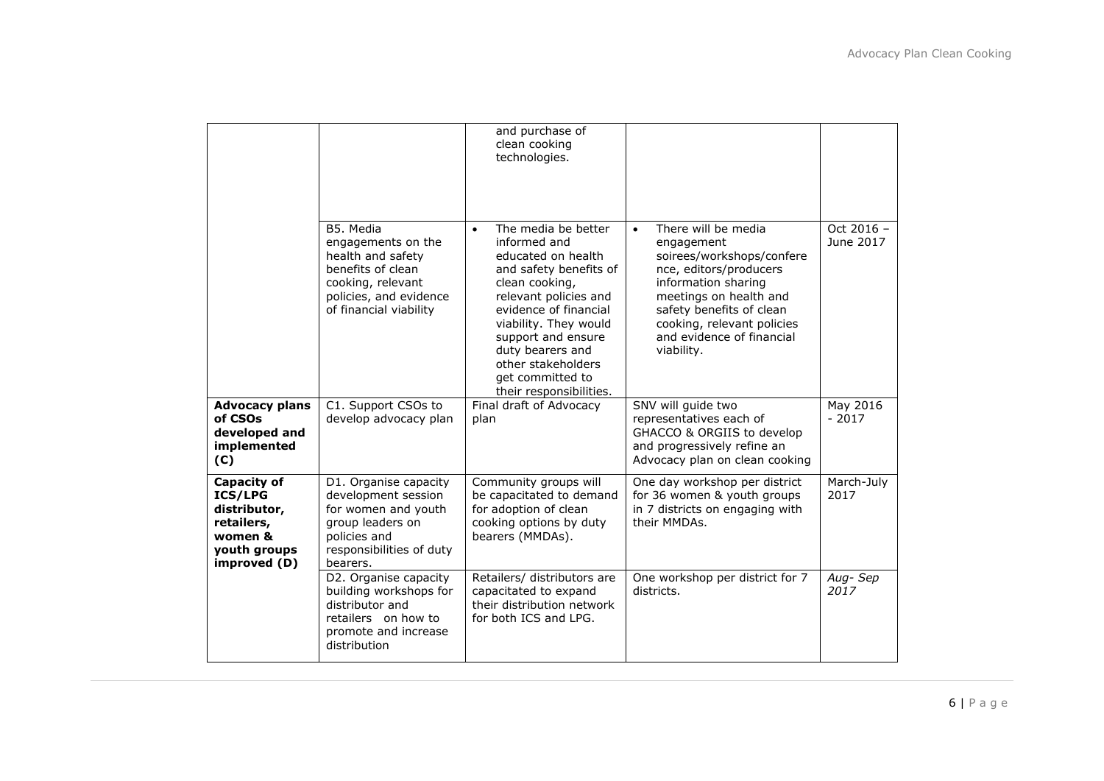|                                                                                                        |                                                                                                                                                    | and purchase of<br>clean cooking<br>technologies.                                                                                                                                                                                                                                                            |                                                                                                                                                                                                                                                             |                         |
|--------------------------------------------------------------------------------------------------------|----------------------------------------------------------------------------------------------------------------------------------------------------|--------------------------------------------------------------------------------------------------------------------------------------------------------------------------------------------------------------------------------------------------------------------------------------------------------------|-------------------------------------------------------------------------------------------------------------------------------------------------------------------------------------------------------------------------------------------------------------|-------------------------|
|                                                                                                        | B5. Media<br>engagements on the<br>health and safety<br>benefits of clean<br>cooking, relevant<br>policies, and evidence<br>of financial viability | The media be better<br>$\bullet$<br>informed and<br>educated on health<br>and safety benefits of<br>clean cooking,<br>relevant policies and<br>evidence of financial<br>viability. They would<br>support and ensure<br>duty bearers and<br>other stakeholders<br>get committed to<br>their responsibilities. | There will be media<br>$\bullet$<br>engagement<br>soirees/workshops/confere<br>nce, editors/producers<br>information sharing<br>meetings on health and<br>safety benefits of clean<br>cooking, relevant policies<br>and evidence of financial<br>viability. | Oct 2016 -<br>June 2017 |
| <b>Advocacy plans</b><br>of CSOs<br>developed and<br>implemented<br>(C)                                | C1. Support CSOs to<br>develop advocacy plan                                                                                                       | Final draft of Advocacy<br>plan                                                                                                                                                                                                                                                                              | SNV will guide two<br>representatives each of<br>GHACCO & ORGIIS to develop<br>and progressively refine an<br>Advocacy plan on clean cooking                                                                                                                | May 2016<br>$-2017$     |
| <b>Capacity of</b><br>ICS/LPG<br>distributor,<br>retailers,<br>women &<br>youth groups<br>improved (D) | D1. Organise capacity<br>development session<br>for women and youth<br>group leaders on<br>policies and<br>responsibilities of duty<br>bearers.    | Community groups will<br>be capacitated to demand<br>for adoption of clean<br>cooking options by duty<br>bearers (MMDAs).                                                                                                                                                                                    | One day workshop per district<br>for 36 women & youth groups<br>in 7 districts on engaging with<br>their MMDAs.                                                                                                                                             | March-July<br>2017      |
|                                                                                                        | D2. Organise capacity<br>building workshops for<br>distributor and<br>retailers on how to<br>promote and increase<br>distribution                  | Retailers/ distributors are<br>capacitated to expand<br>their distribution network<br>for both ICS and LPG.                                                                                                                                                                                                  | One workshop per district for 7<br>districts.                                                                                                                                                                                                               | Aug-Sep<br>2017         |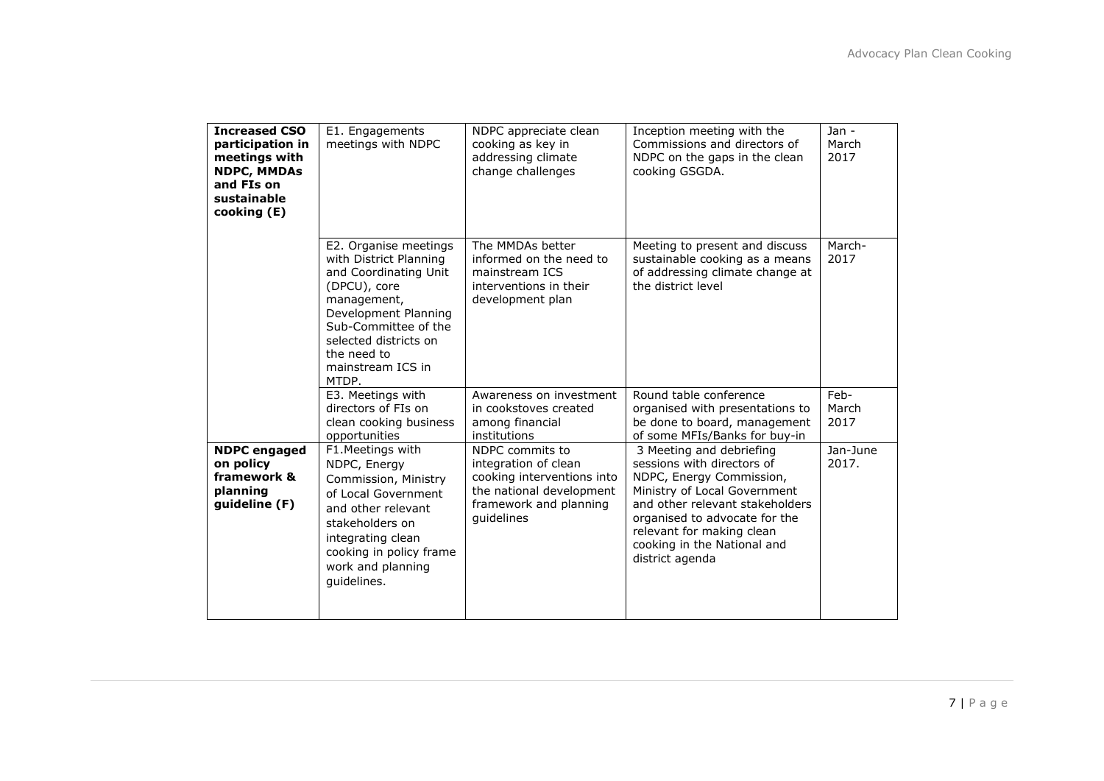| <b>Increased CSO</b><br>participation in<br>meetings with<br><b>NDPC, MMDAs</b><br>and FIs on<br>sustainable<br>cooking (E) | E1. Engagements<br>meetings with NDPC                                                                                                                                                                                         | NDPC appreciate clean<br>cooking as key in<br>addressing climate<br>change challenges                                                     | Inception meeting with the<br>Commissions and directors of<br>NDPC on the gaps in the clean<br>cooking GSGDA.                                                                                                                                                         | $Jan -$<br>March<br>2017 |
|-----------------------------------------------------------------------------------------------------------------------------|-------------------------------------------------------------------------------------------------------------------------------------------------------------------------------------------------------------------------------|-------------------------------------------------------------------------------------------------------------------------------------------|-----------------------------------------------------------------------------------------------------------------------------------------------------------------------------------------------------------------------------------------------------------------------|--------------------------|
|                                                                                                                             | E2. Organise meetings<br>with District Planning<br>and Coordinating Unit<br>(DPCU), core<br>management,<br>Development Planning<br>Sub-Committee of the<br>selected districts on<br>the need to<br>mainstream ICS in<br>MTDP. | The MMDAs better<br>informed on the need to<br>mainstream ICS<br>interventions in their<br>development plan                               | Meeting to present and discuss<br>sustainable cooking as a means<br>of addressing climate change at<br>the district level                                                                                                                                             | March-<br>2017           |
|                                                                                                                             | E3. Meetings with<br>directors of FIs on<br>clean cooking business<br>opportunities                                                                                                                                           | Awareness on investment<br>in cookstoves created<br>among financial<br>institutions                                                       | Round table conference<br>organised with presentations to<br>be done to board, management<br>of some MFIs/Banks for buy-in                                                                                                                                            | Feb-<br>March<br>2017    |
| <b>NDPC</b> engaged<br>on policy<br>framework &<br>planning<br>guideline (F)                                                | F1.Meetings with<br>NDPC, Energy<br>Commission, Ministry<br>of Local Government<br>and other relevant<br>stakeholders on<br>integrating clean<br>cooking in policy frame<br>work and planning<br>quidelines.                  | NDPC commits to<br>integration of clean<br>cooking interventions into<br>the national development<br>framework and planning<br>quidelines | 3 Meeting and debriefing<br>sessions with directors of<br>NDPC, Energy Commission,<br>Ministry of Local Government<br>and other relevant stakeholders<br>organised to advocate for the<br>relevant for making clean<br>cooking in the National and<br>district agenda | Jan-June<br>2017.        |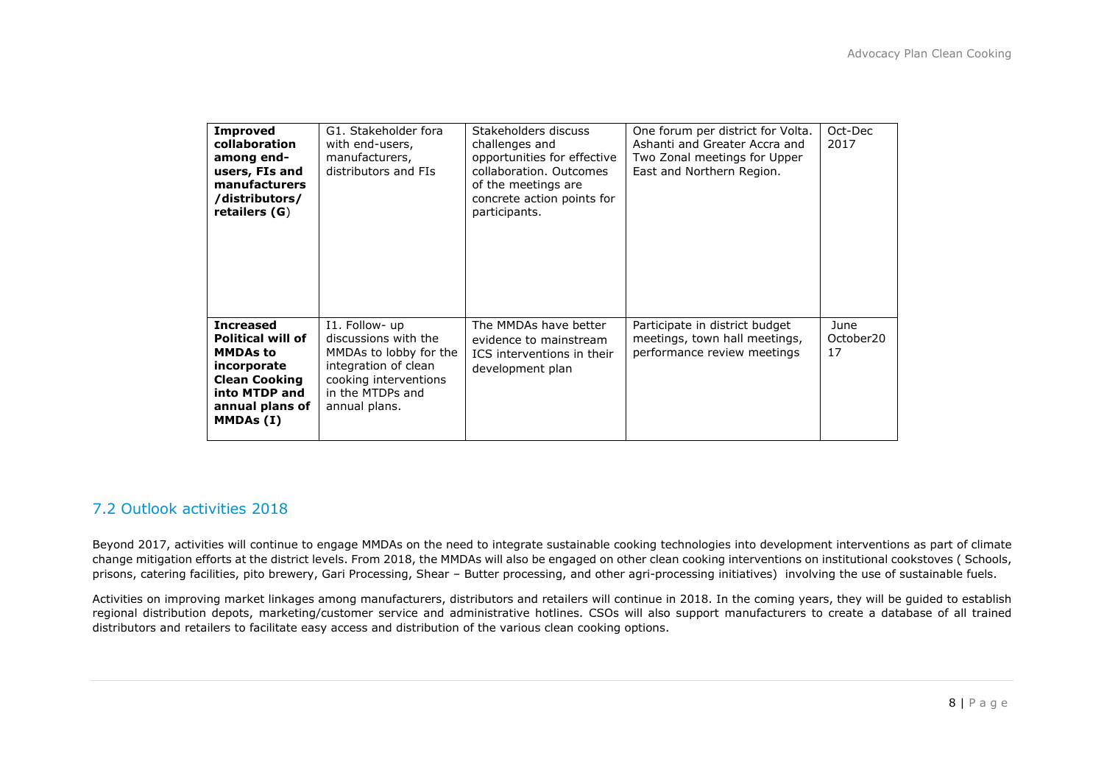| <b>Improved</b><br>collaboration<br>among end-<br>users, FIs and<br>manufacturers<br>/distributors/<br>retailers $(G)$                                  | G1. Stakeholder fora<br>with end-users,<br>manufacturers,<br>distributors and FIs                                                                      | Stakeholders discuss<br>challenges and<br>opportunities for effective<br>collaboration. Outcomes<br>of the meetings are<br>concrete action points for<br>participants. | One forum per district for Volta.<br>Ashanti and Greater Accra and<br>Two Zonal meetings for Upper<br>East and Northern Region. | Oct-Dec<br>2017         |
|---------------------------------------------------------------------------------------------------------------------------------------------------------|--------------------------------------------------------------------------------------------------------------------------------------------------------|------------------------------------------------------------------------------------------------------------------------------------------------------------------------|---------------------------------------------------------------------------------------------------------------------------------|-------------------------|
| <b>Increased</b><br><b>Political will of</b><br><b>MMDAs to</b><br>incorporate<br><b>Clean Cooking</b><br>into MTDP and<br>annual plans of<br>MMDAs (I) | I1. Follow- up<br>discussions with the<br>MMDAs to lobby for the<br>integration of clean<br>cooking interventions<br>in the MTDPs and<br>annual plans. | The MMDAs have better<br>evidence to mainstream<br>ICS interventions in their<br>development plan                                                                      | Participate in district budget<br>meetings, town hall meetings,<br>performance review meetings                                  | June<br>October20<br>17 |

#### 7.2 Outlook activities 2018

Beyond 2017, activities will continue to engage MMDAs on the need to integrate sustainable cooking technologies into development interventions as part of climate change mitigation efforts at the district levels. From 2018, the MMDAs will also be engaged on other clean cooking interventions on institutional cookstoves ( Schools, prisons, catering facilities, pito brewery, Gari Processing, Shear – Butter processing, and other agri-processing initiatives) involving the use of sustainable fuels.

Activities on improving market linkages among manufacturers, distributors and retailers will continue in 2018. In the coming years, they will be guided to establish regional distribution depots, marketing/customer service and administrative hotlines. CSOs will also support manufacturers to create a database of all trained distributors and retailers to facilitate easy access and distribution of the various clean cooking options.